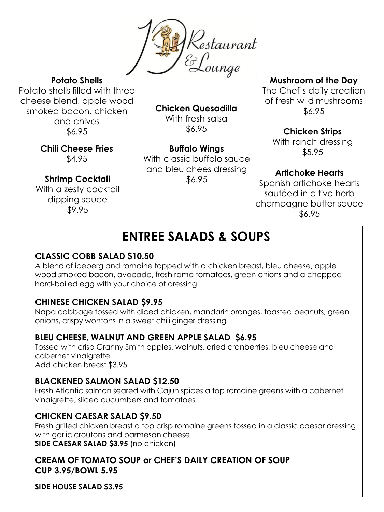

**Potato Shells**

Potato shells filled with three cheese blend, apple wood smoked bacon, chicken and chives \$6.95

**Chicken Quesadilla**

With fresh salsa \$6.95

**Buffalo Wings** With classic buffalo sauce

\$5.95 **Chili Cheese Fries** \$4.95

With a zesty cocktail dipping sauce \$9.95

**Shrimp Cocktail**

and bleu chees dressing \$6.95

#### **Mushroom of the Day**

The Chef's daily creation of fresh wild mushrooms \$6.95

**Chicken Strips**

With ranch dressing

## **Artichoke Hearts**

Spanish artichoke hearts sautéed in a five herb champagne butter sauce \$6.95

## **ENTREE SALADS & SOUPS**

## **CLASSIC COBB SALAD \$10.50**

A blend of iceberg and romaine topped with a chicken breast, bleu cheese, apple wood smoked bacon, avocado, fresh roma tomatoes, green onions and a chopped hard-boiled egg with your choice of dressing

## **CHINESE CHICKEN SALAD \$9.95**

Napa cabbage tossed with diced chicken, mandarin oranges, toasted peanuts, green onions, crispy wontons in a sweet chili ginger dressing

## **BLEU CHEESE, WALNUT AND GREEN APPLE SALAD \$6.95**

Tossed with crisp Granny Smith apples, walnuts, dried cranberries, bleu cheese and cabernet vinaigrette Add chicken breast \$3.95

## **BLACKENED SALMON SALAD \$12.50**

Fresh Atlantic salmon seared with Cajun spices a top romaine greens with a cabernet vinaigrette, sliced cucumbers and tomatoes

## **CHICKEN CAESAR SALAD \$9.50**

Fresh grilled chicken breast a top crisp romaine greens tossed in a classic caesar dressing with garlic croutons and parmesan cheese **SIDE CAESAR SALAD \$3.95** (no chicken)

### **CREAM OF TOMATO SOUP or CHEF'S DAILY CREATION OF SOUP CUP 3.95/BOWL 5.95**

**SIDE HOUSE SALAD \$3.95**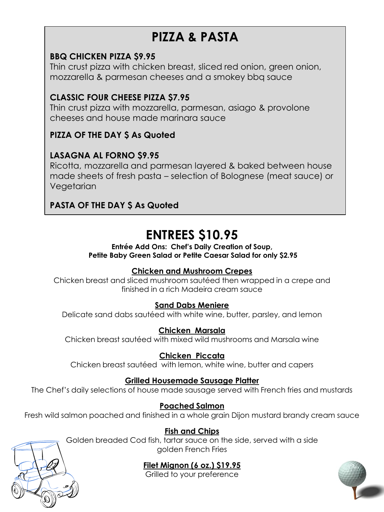## **PIZZA & PASTA**

### **BBQ CHICKEN PIZZA \$9.95**

Thin crust pizza with chicken breast, sliced red onion, green onion, mozzarella & parmesan cheeses and a smokey bbq sauce

## **CLASSIC FOUR CHEESE PIZZA \$7.95**

Thin crust pizza with mozzarella, parmesan, asiago & provolone cheeses and house made marinara sauce

## **PIZZA OF THE DAY \$ As Quoted**

## **LASAGNA AL FORNO \$9.95**

Ricotta, mozzarella and parmesan layered & baked between house made sheets of fresh pasta – selection of Bolognese (meat sauce) or Vegetarian

## **PASTA OF THE DAY \$ As Quoted**

## **ENTREES \$10.95**

#### **Entrée Add Ons: Chef's Daily Creation of Soup, Petite Baby Green Salad or Petite Caesar Salad for only \$2.95**

#### **Chicken and Mushroom Crepes**

Chicken breast and sliced mushroom sautéed then wrapped in a crepe and finished in a rich Madeira cream sauce

#### **Sand Dabs Meniere**

Delicate sand dabs sautéed with white wine, butter, parsley, and lemon

#### **Chicken Marsala**

Chicken breast sautéed with mixed wild mushrooms and Marsala wine

## **Chicken Piccata**

Chicken breast sautéed with lemon, white wine, butter and capers

#### **Grilled Housemade Sausage Platter**

The Chef's daily selections of house made sausage served with French fries and mustards

#### **Poached Salmon**

Fresh wild salmon poached and finished in a whole grain Dijon mustard brandy cream sauce

#### **Fish and Chips**

Golden breaded Cod fish, tartar sauce on the side, served with a side golden French Fries

## **Filet Mignon (6 oz.) \$19.95**

Grilled to your preference